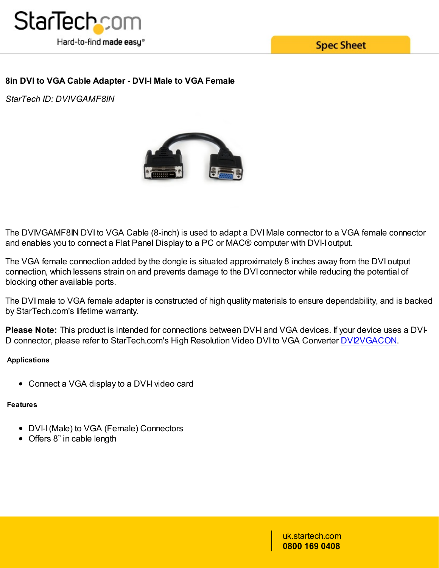

**Spec Sheet** 

# **8in DVI to VGA Cable Adapter - DVI-I Male to VGA Female**

*StarTech ID: DVIVGAMF8IN*



The DVIVGAMF8IN DVI to VGA Cable (8-inch) is used to adapt a DVI Male connector to a VGA female connector and enables you to connect a Flat Panel Display to a PC or MAC® computer with DVI-I output.

The VGA female connection added by the dongle is situated approximately 8 inches away from the DVI output connection, which lessens strain on and prevents damage to the DVI connector while reducing the potential of blocking other available ports.

The DVI male to VGA female adapter is constructed of high quality materials to ensure dependability, and is backed by StarTech.com's lifetime warranty.

**Please Note:** This product is intended for connections between DVI-I and VGA devices. If your [device](/AV/Converters/Video/High-Resolution-Video-DVI-to-VGA-Converter~DVI2VGACON) uses a DVI-D connector, please refer to StarTech.com's High Resolution Video DVI to VGA Converter DVI2VGACON.

### **Applications**

• Connect a VGA display to a DVI-I video card

### **Features**

- DVI-I (Male) to VGA (Female) Connectors
- Offers 8" in cable length

uk.startech.com **0800 169 0408**